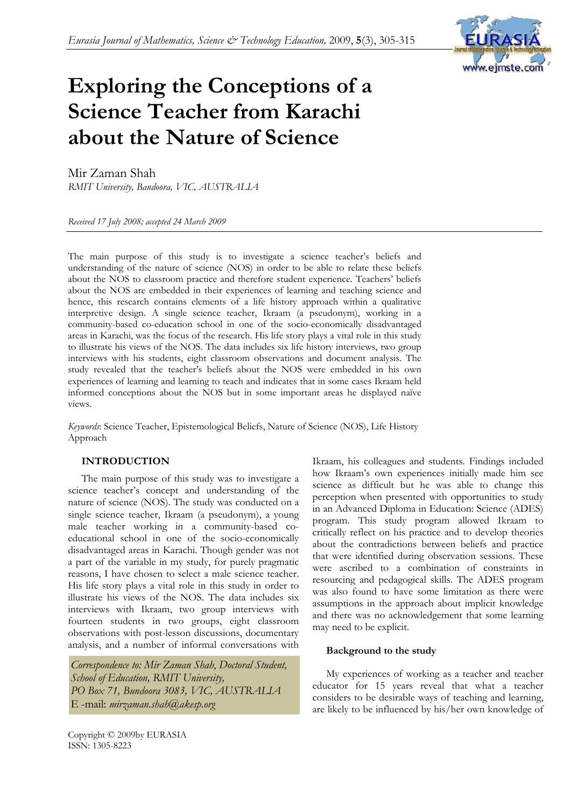

# **Exploring the Conceptions of a Science Teacher from Karachi about the Nature of Science**

Mir Zaman Shah

*RMIT University, Bandoora, VIC, AUSTRALIA*

*Received 17 July 2008; accepted 24 March 2009* 

The main purpose of this study is to investigate a science teacher's beliefs and understanding of the nature of science (NOS) in order to be able to relate these beliefs about the NOS to classroom practice and therefore student experience. Teachers' beliefs about the NOS are embedded in their experiences of learning and teaching science and hence, this research contains elements of a life history approach within a qualitative interpretive design. A single science teacher, Ikraam (a pseudonym), working in a community-based co-education school in one of the socio-economically disadvantaged areas in Karachi, was the focus of the research. His life story plays a vital role in this study to illustrate his views of the NOS. The data includes six life history interviews, two group interviews with his students, eight classroom observations and document analysis. The study revealed that the teacher's beliefs about the NOS were embedded in his own experiences of learning and learning to teach and indicates that in some cases Ikraam held informed conceptions about the NOS but in some important areas he displayed naïve views.

*Keywords*: Science Teacher, Epistemological Beliefs, Nature of Science (NOS), Life History Approach

## **INTRODUCTION**

The main purpose of this study was to investigate a science teacher's concept and understanding of the nature of science (NOS). The study was conducted on a single science teacher, Ikraam (a pseudonym), a young male teacher working in a community-based coeducational school in one of the socio-economically disadvantaged areas in Karachi. Though gender was not a part of the variable in my study, for purely pragmatic reasons, I have chosen to select a male science teacher. His life story plays a vital role in this study in order to illustrate his views of the NOS. The data includes six interviews with Ikraam, two group interviews with fourteen students in two groups, eight classroom observations with post-lesson discussions, documentary analysis, and a number of informal conversations with

*Correspondence to: Mir Zaman Shah*, *Doctoral Student, School of Education, RMIT University, PO Box 71, Bundoora 3083, VIC, AUSTRALIA*  E -mail: *mirzaman.shah@akesp.org* 

Ikraam, his colleagues and students. Findings included how Ikraam's own experiences initially made him see science as difficult but he was able to change this perception when presented with opportunities to study in an Advanced Diploma in Education: Science (ADES) program. This study program allowed Ikraam to critically reflect on his practice and to develop theories about the contradictions between beliefs and practice that were identified during observation sessions. These were ascribed to a combination of constraints in resourcing and pedagogical skills. The ADES program was also found to have some limitation as there were assumptions in the approach about implicit knowledge and there was no acknowledgement that some learning may need to be explicit.

## **Background to the study**

My experiences of working as a teacher and teacher educator for 15 years reveal that what a teacher considers to be desirable ways of teaching and learning, are likely to be influenced by his/her own knowledge of

Copyright © 2009by EURASIA ISSN: 1305-8223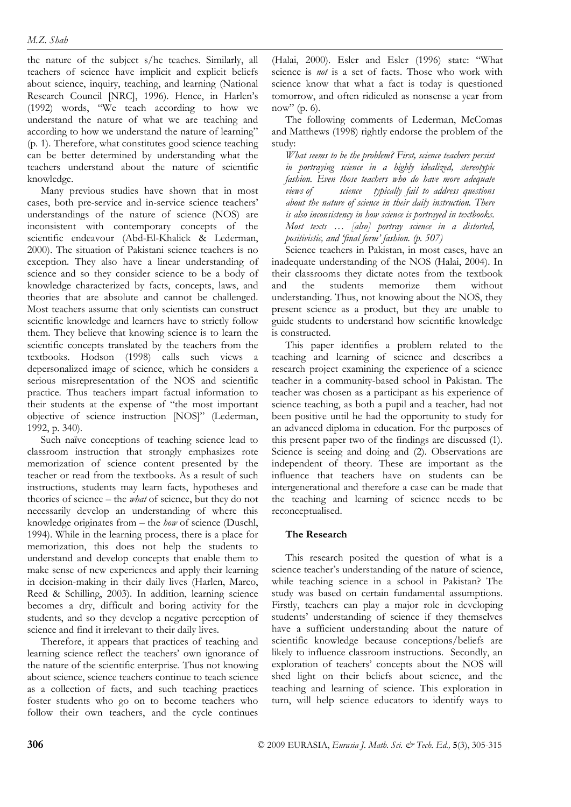the nature of the subject s/he teaches. Similarly, all teachers of science have implicit and explicit beliefs about science, inquiry, teaching, and learning (National Research Council [NRC], 1996). Hence, in Harlen's (1992) words, "We teach according to how we understand the nature of what we are teaching and according to how we understand the nature of learning" (p. 1). Therefore, what constitutes good science teaching can be better determined by understanding what the teachers understand about the nature of scientific knowledge.

Many previous studies have shown that in most cases, both pre-service and in-service science teachers' understandings of the nature of science (NOS) are inconsistent with contemporary concepts of the scientific endeavour (Abd-El-Khalick & Lederman, 2000). The situation of Pakistani science teachers is no exception. They also have a linear understanding of science and so they consider science to be a body of knowledge characterized by facts, concepts, laws, and theories that are absolute and cannot be challenged. Most teachers assume that only scientists can construct scientific knowledge and learners have to strictly follow them. They believe that knowing science is to learn the scientific concepts translated by the teachers from the textbooks. Hodson (1998) calls such views a depersonalized image of science, which he considers a serious misrepresentation of the NOS and scientific practice. Thus teachers impart factual information to their students at the expense of "the most important objective of science instruction [NOS]" (Lederman, 1992, p. 340).

Such naïve conceptions of teaching science lead to classroom instruction that strongly emphasizes rote memorization of science content presented by the teacher or read from the textbooks. As a result of such instructions, students may learn facts, hypotheses and theories of science – the *what* of science, but they do not necessarily develop an understanding of where this knowledge originates from – the *how* of science (Duschl, 1994). While in the learning process, there is a place for memorization, this does not help the students to understand and develop concepts that enable them to make sense of new experiences and apply their learning in decision-making in their daily lives (Harlen, Marco, Reed & Schilling, 2003). In addition, learning science becomes a dry, difficult and boring activity for the students, and so they develop a negative perception of science and find it irrelevant to their daily lives.

Therefore, it appears that practices of teaching and learning science reflect the teachers' own ignorance of the nature of the scientific enterprise. Thus not knowing about science, science teachers continue to teach science as a collection of facts, and such teaching practices foster students who go on to become teachers who follow their own teachers, and the cycle continues

(Halai, 2000). Esler and Esler (1996) state: "What science is *not* is a set of facts. Those who work with science know that what a fact is today is questioned tomorrow, and often ridiculed as nonsense a year from now" (p. 6).

The following comments of Lederman, McComas and Matthews (1998) rightly endorse the problem of the study:

*What seems to be the problem? First, science teachers persist in portraying science in a highly idealized, stereotypic fashion. Even those teachers who do have more adequate views of science typically fail to address questions about the nature of science in their daily instruction. There is also inconsistency in how science is portrayed in textbooks. Most texts … [also] portray science in a distorted, positivistic, and 'final form' fashion. (p. 507)* 

Science teachers in Pakistan, in most cases, have an inadequate understanding of the NOS (Halai, 2004). In their classrooms they dictate notes from the textbook and the students memorize them without understanding. Thus, not knowing about the NOS, they present science as a product, but they are unable to guide students to understand how scientific knowledge is constructed.

This paper identifies a problem related to the teaching and learning of science and describes a research project examining the experience of a science teacher in a community-based school in Pakistan. The teacher was chosen as a participant as his experience of science teaching, as both a pupil and a teacher, had not been positive until he had the opportunity to study for an advanced diploma in education. For the purposes of this present paper two of the findings are discussed (1). Science is seeing and doing and (2). Observations are independent of theory. These are important as the influence that teachers have on students can be intergenerational and therefore a case can be made that the teaching and learning of science needs to be reconceptualised.

# **The Research**

This research posited the question of what is a science teacher's understanding of the nature of science, while teaching science in a school in Pakistan? The study was based on certain fundamental assumptions. Firstly, teachers can play a major role in developing students' understanding of science if they themselves have a sufficient understanding about the nature of scientific knowledge because conceptions/beliefs are likely to influence classroom instructions. Secondly, an exploration of teachers' concepts about the NOS will shed light on their beliefs about science, and the teaching and learning of science. This exploration in turn, will help science educators to identify ways to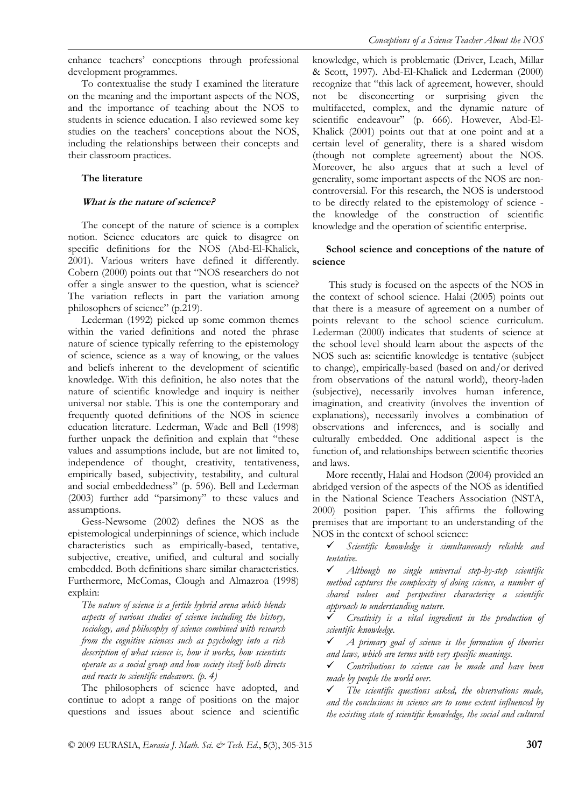enhance teachers' conceptions through professional development programmes.

To contextualise the study I examined the literature on the meaning and the important aspects of the NOS, and the importance of teaching about the NOS to students in science education. I also reviewed some key studies on the teachers' conceptions about the NOS, including the relationships between their concepts and their classroom practices.

#### **The literature**

#### **What is the nature of science?**

The concept of the nature of science is a complex notion. Science educators are quick to disagree on specific definitions for the NOS (Abd-El-Khalick, 2001). Various writers have defined it differently. Cobern (2000) points out that "NOS researchers do not offer a single answer to the question, what is science? The variation reflects in part the variation among philosophers of science" (p.219).

Lederman (1992) picked up some common themes within the varied definitions and noted the phrase nature of science typically referring to the epistemology of science, science as a way of knowing, or the values and beliefs inherent to the development of scientific knowledge. With this definition, he also notes that the nature of scientific knowledge and inquiry is neither universal nor stable. This is one the contemporary and frequently quoted definitions of the NOS in science education literature. Lederman, Wade and Bell (1998) further unpack the definition and explain that "these values and assumptions include, but are not limited to, independence of thought, creativity, tentativeness, empirically based, subjectivity, testability, and cultural and social embeddedness" (p. 596). Bell and Lederman (2003) further add "parsimony" to these values and assumptions.

Gess-Newsome (2002) defines the NOS as the epistemological underpinnings of science, which include characteristics such as empirically-based, tentative, subjective, creative, unified, and cultural and socially embedded. Both definitions share similar characteristics. Furthermore, McComas, Clough and Almazroa (1998) explain:

*The nature of science is a fertile hybrid arena which blends aspects of various studies of science including the history, sociology, and philosophy of science combined with research from the cognitive sciences such as psychology into a rich description of what science is, how it works, how scientists operate as a social group and how society itself both directs and reacts to scientific endeavors. (p. 4)* 

The philosophers of science have adopted, and continue to adopt a range of positions on the major questions and issues about science and scientific knowledge, which is problematic (Driver, Leach, Millar & Scott, 1997). Abd-El-Khalick and Lederman (2000) recognize that "this lack of agreement, however, should not be disconcerting or surprising given the multifaceted, complex, and the dynamic nature of scientific endeavour" (p. 666). However, Abd-El-Khalick (2001) points out that at one point and at a certain level of generality, there is a shared wisdom (though not complete agreement) about the NOS. Moreover, he also argues that at such a level of generality, some important aspects of the NOS are noncontroversial. For this research, the NOS is understood to be directly related to the epistemology of science the knowledge of the construction of scientific knowledge and the operation of scientific enterprise.

## **School science and conceptions of the nature of science**

 This study is focused on the aspects of the NOS in the context of school science. Halai (2005) points out that there is a measure of agreement on a number of points relevant to the school science curriculum. Lederman (2000) indicates that students of science at the school level should learn about the aspects of the NOS such as: scientific knowledge is tentative (subject to change), empirically-based (based on and/or derived from observations of the natural world), theory-laden (subjective), necessarily involves human inference, imagination, and creativity (involves the invention of explanations), necessarily involves a combination of observations and inferences, and is socially and culturally embedded. One additional aspect is the function of, and relationships between scientific theories and laws.

More recently, Halai and Hodson (2004) provided an abridged version of the aspects of the NOS as identified in the National Science Teachers Association (NSTA, 2000) position paper. This affirms the following premises that are important to an understanding of the NOS in the context of school science:

9 *Scientific knowledge is simultaneously reliable and tentative.* 

9 *Although no single universal step-by-step scientific method captures the complexity of doing science, a number of shared values and perspectives characterize a scientific approach to understanding nature.* 

9 *Creativity is a vital ingredient in the production of scientific knowledge.* 

9 *A primary goal of science is the formation of theories and laws, which are terms with very specific meanings.* 

9 *Contributions to science can be made and have been made by people the world over.* 

9 *The scientific questions asked, the observations made, and the conclusions in science are to some extent influenced by the existing state of scientific knowledge, the social and cultural*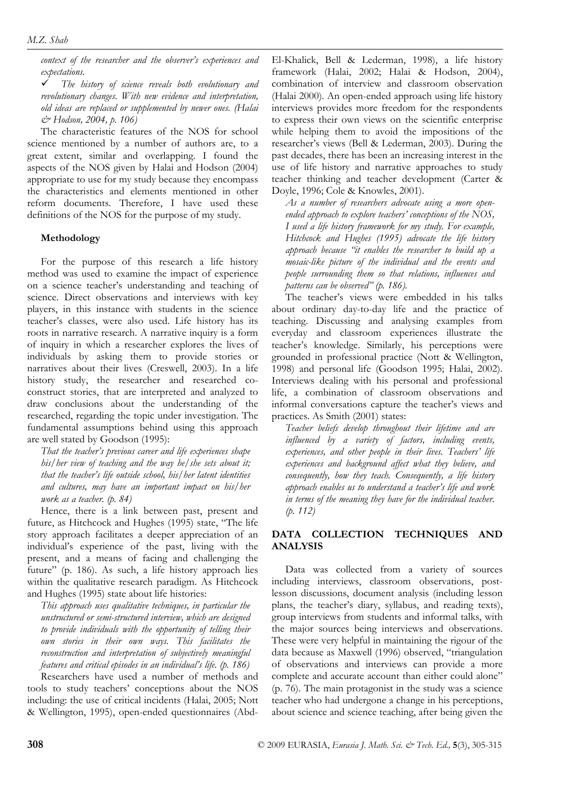*context of the researcher and the observer's experiences and expectations.* 

9 *The history of science reveals both evolutionary and revolutionary changes. With new evidence and interpretation, old ideas are replaced or supplemented by newer ones. (Halai & Hodson, 2004, p. 106)* 

The characteristic features of the NOS for school science mentioned by a number of authors are, to a great extent, similar and overlapping. I found the aspects of the NOS given by Halai and Hodson (2004) appropriate to use for my study because they encompass the characteristics and elements mentioned in other reform documents. Therefore, I have used these definitions of the NOS for the purpose of my study.

#### **Methodology**

For the purpose of this research a life history method was used to examine the impact of experience on a science teacher's understanding and teaching of science. Direct observations and interviews with key players, in this instance with students in the science teacher's classes, were also used. Life history has its roots in narrative research. A narrative inquiry is a form of inquiry in which a researcher explores the lives of individuals by asking them to provide stories or narratives about their lives (Creswell, 2003). In a life history study, the researcher and researched coconstruct stories, that are interpreted and analyzed to draw conclusions about the understanding of the researched, regarding the topic under investigation. The fundamental assumptions behind using this approach are well stated by Goodson (1995):

*That the teacher's previous career and life experiences shape his/her view of teaching and the way he/she sets about it; that the teacher's life outside school, his/her latent identities and cultures, may have an important impact on his/her work as a teacher. (p. 84)* 

Hence, there is a link between past, present and future, as Hitchcock and Hughes (1995) state, "The life story approach facilitates a deeper appreciation of an individual's experience of the past, living with the present, and a means of facing and challenging the future" (p. 186). As such, a life history approach lies within the qualitative research paradigm. As Hitchcock and Hughes (1995) state about life histories:

*This approach uses qualitative techniques, in particular the unstructured or semi-structured interview, which are designed to provide individuals with the opportunity of telling their own stories in their own ways. This facilitates the reconstruction and interpretation of subjectively meaningful features and critical episodes in an individual's life. (p. 186)* 

Researchers have used a number of methods and tools to study teachers' conceptions about the NOS including: the use of critical incidents (Halai, 2005; Nott & Wellington, 1995), open-ended questionnaires (AbdEl-Khalick, Bell & Lederman, 1998), a life history framework (Halai, 2002; Halai & Hodson, 2004), combination of interview and classroom observation (Halai 2000). An open-ended approach using life history interviews provides more freedom for the respondents to express their own views on the scientific enterprise while helping them to avoid the impositions of the researcher's views (Bell & Lederman, 2003). During the past decades, there has been an increasing interest in the use of life history and narrative approaches to study teacher thinking and teacher development (Carter & Doyle, 1996; Cole & Knowles, 2001).

*As a number of researchers advocate using a more openended approach to explore teachers' conceptions of the NOS, I used a life history framework for my study. For example, Hitchcock and Hughes (1995) advocate the life history approach because "it enables the researcher to build up a mosaic-like picture of the individual and the events and people surrounding them so that relations, influences and patterns can be observed" (p. 186).* 

The teacher's views were embedded in his talks about ordinary day-to-day life and the practice of teaching. Discussing and analysing examples from everyday and classroom experiences illustrate the teacher's knowledge. Similarly, his perceptions were grounded in professional practice (Nott & Wellington, 1998) and personal life (Goodson 1995; Halai, 2002). Interviews dealing with his personal and professional life, a combination of classroom observations and informal conversations capture the teacher's views and practices. As Smith (2001) states:

*Teacher beliefs develop throughout their lifetime and are influenced by a variety of factors, including events, experiences, and other people in their lives. Teachers' life experiences and background affect what they believe, and consequently, how they teach. Consequently, a life history approach enables us to understand a teacher's life and work in terms of the meaning they have for the individual teacher. (p. 112)* 

# **DATA COLLECTION TECHNIQUES AND ANALYSIS**

Data was collected from a variety of sources including interviews, classroom observations, postlesson discussions, document analysis (including lesson plans, the teacher's diary, syllabus, and reading texts), group interviews from students and informal talks, with the major sources being interviews and observations. These were very helpful in maintaining the rigour of the data because as Maxwell (1996) observed, "triangulation of observations and interviews can provide a more complete and accurate account than either could alone" (p. 76). The main protagonist in the study was a science teacher who had undergone a change in his perceptions, about science and science teaching, after being given the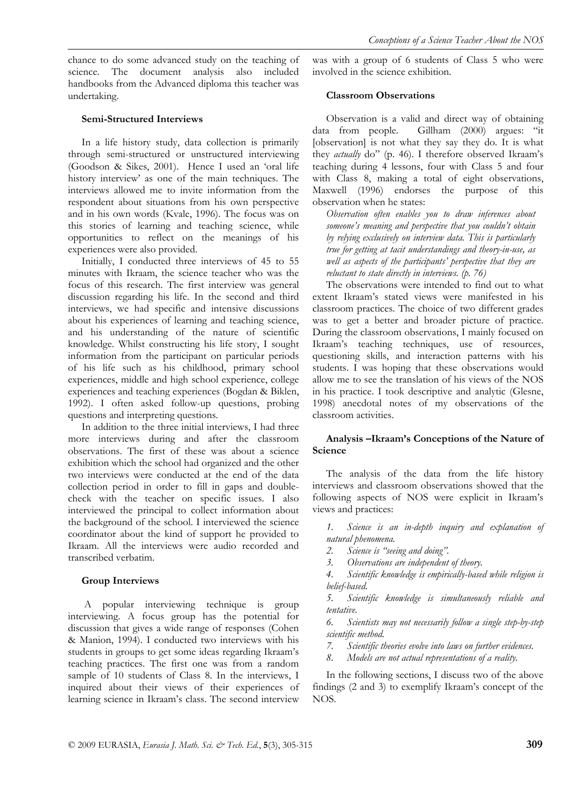# **Semi-Structured Interviews**

In a life history study, data collection is primarily through semi-structured or unstructured interviewing (Goodson & Sikes, 2001). Hence I used an 'oral life history interview' as one of the main techniques. The interviews allowed me to invite information from the respondent about situations from his own perspective and in his own words (Kvale, 1996). The focus was on this stories of learning and teaching science, while opportunities to reflect on the meanings of his experiences were also provided.

Initially, I conducted three interviews of 45 to 55 minutes with Ikraam, the science teacher who was the focus of this research. The first interview was general discussion regarding his life. In the second and third interviews, we had specific and intensive discussions about his experiences of learning and teaching science, and his understanding of the nature of scientific knowledge. Whilst constructing his life story, I sought information from the participant on particular periods of his life such as his childhood, primary school experiences, middle and high school experience, college experiences and teaching experiences (Bogdan & Biklen, 1992). I often asked follow-up questions, probing questions and interpreting questions.

In addition to the three initial interviews, I had three more interviews during and after the classroom observations. The first of these was about a science exhibition which the school had organized and the other two interviews were conducted at the end of the data collection period in order to fill in gaps and doublecheck with the teacher on specific issues. I also interviewed the principal to collect information about the background of the school. I interviewed the science coordinator about the kind of support he provided to Ikraam. All the interviews were audio recorded and transcribed verbatim.

## **Group Interviews**

 A popular interviewing technique is group interviewing. A focus group has the potential for discussion that gives a wide range of responses (Cohen & Manion, 1994). I conducted two interviews with his students in groups to get some ideas regarding Ikraam's teaching practices. The first one was from a random sample of 10 students of Class 8. In the interviews, I inquired about their views of their experiences of learning science in Ikraam's class. The second interview was with a group of 6 students of Class 5 who were involved in the science exhibition.

# **Classroom Observations**

Observation is a valid and direct way of obtaining data from people. Gillham (2000) argues: "it [observation] is not what they say they do. It is what they *actually* do" (p. 46). I therefore observed Ikraam's teaching during 4 lessons, four with Class 5 and four with Class 8, making a total of eight observations, Maxwell (1996) endorses the purpose of this observation when he states:

*Observation often enables you to draw inferences about someone's meaning and perspective that you couldn't obtain by relying exclusively on interview data. This is particularly true for getting at tacit understandings and theory-in-use, as well as aspects of the participants' perspective that they are reluctant to state directly in interviews. (p. 76)* 

The observations were intended to find out to what extent Ikraam's stated views were manifested in his classroom practices. The choice of two different grades was to get a better and broader picture of practice. During the classroom observations, I mainly focused on Ikraam's teaching techniques, use of resources, questioning skills, and interaction patterns with his students. I was hoping that these observations would allow me to see the translation of his views of the NOS in his practice. I took descriptive and analytic (Glesne, 1998) anecdotal notes of my observations of the classroom activities.

# **Analysis –Ikraam's Conceptions of the Nature of Science**

The analysis of the data from the life history interviews and classroom observations showed that the following aspects of NOS were explicit in Ikraam's views and practices:

*1. Science is an in-depth inquiry and explanation of natural phenomena.* 

- *2. Science is "seeing and doing".*
- *3. Observations are independent of theory.*

*4. Scientific knowledge is empirically-based while religion is belief-based.* 

*5. Scientific knowledge is simultaneously reliable and tentative.* 

*6. Scientists may not necessarily follow a single step-by-step scientific method.* 

*7. Scientific theories evolve into laws on further evidences.* 

*8. Models are not actual representations of a reality.* 

In the following sections, I discuss two of the above findings (2 and 3) to exemplify Ikraam's concept of the NOS.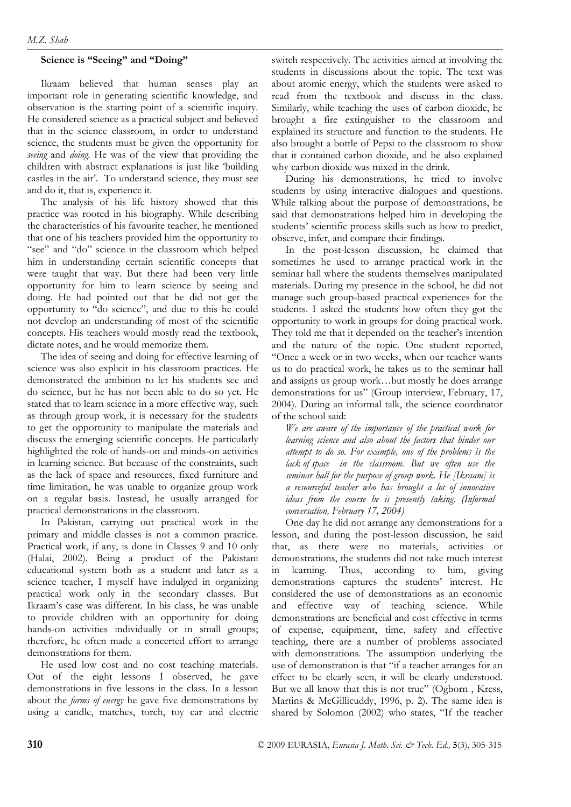# **Science is "Seeing" and "Doing"**

Ikraam believed that human senses play an important role in generating scientific knowledge, and observation is the starting point of a scientific inquiry. He considered science as a practical subject and believed that in the science classroom, in order to understand science, the students must be given the opportunity for *seeing* and *doing*. He was of the view that providing the children with abstract explanations is just like 'building castles in the air'. To understand science, they must see and do it, that is, experience it.

The analysis of his life history showed that this practice was rooted in his biography. While describing the characteristics of his favourite teacher, he mentioned that one of his teachers provided him the opportunity to "see" and "do" science in the classroom which helped him in understanding certain scientific concepts that were taught that way. But there had been very little opportunity for him to learn science by seeing and doing. He had pointed out that he did not get the opportunity to "do science", and due to this he could not develop an understanding of most of the scientific concepts. His teachers would mostly read the textbook, dictate notes, and he would memorize them.

The idea of seeing and doing for effective learning of science was also explicit in his classroom practices. He demonstrated the ambition to let his students see and do science, but he has not been able to do so yet. He stated that to learn science in a more effective way, such as through group work, it is necessary for the students to get the opportunity to manipulate the materials and discuss the emerging scientific concepts. He particularly highlighted the role of hands-on and minds-on activities in learning science. But because of the constraints, such as the lack of space and resources, fixed furniture and time limitation, he was unable to organize group work on a regular basis. Instead, he usually arranged for practical demonstrations in the classroom.

In Pakistan, carrying out practical work in the primary and middle classes is not a common practice. Practical work, if any, is done in Classes 9 and 10 only (Halai, 2002). Being a product of the Pakistani educational system both as a student and later as a science teacher, I myself have indulged in organizing practical work only in the secondary classes. But Ikraam's case was different. In his class, he was unable to provide children with an opportunity for doing hands-on activities individually or in small groups; therefore, he often made a concerted effort to arrange demonstrations for them.

He used low cost and no cost teaching materials. Out of the eight lessons I observed, he gave demonstrations in five lessons in the class. In a lesson about the *forms of energy* he gave five demonstrations by using a candle, matches, torch, toy car and electric switch respectively. The activities aimed at involving the students in discussions about the topic. The text was about atomic energy, which the students were asked to read from the textbook and discuss in the class. Similarly, while teaching the uses of carbon dioxide, he brought a fire extinguisher to the classroom and explained its structure and function to the students. He also brought a bottle of Pepsi to the classroom to show that it contained carbon dioxide, and he also explained why carbon dioxide was mixed in the drink.

During his demonstrations, he tried to involve students by using interactive dialogues and questions. While talking about the purpose of demonstrations, he said that demonstrations helped him in developing the students' scientific process skills such as how to predict, observe, infer, and compare their findings.

In the post-lesson discussion, he claimed that sometimes he used to arrange practical work in the seminar hall where the students themselves manipulated materials. During my presence in the school, he did not manage such group-based practical experiences for the students. I asked the students how often they got the opportunity to work in groups for doing practical work. They told me that it depended on the teacher's intention and the nature of the topic. One student reported, "Once a week or in two weeks, when our teacher wants us to do practical work, he takes us to the seminar hall and assigns us group work…but mostly he does arrange demonstrations for us" (Group interview, February, 17, 2004). During an informal talk, the science coordinator of the school said:

*We are aware of the importance of the practical work for learning science and also about the factors that hinder our attempt to do so. For example, one of the problems is the lack of space in the classroom. But we often use the seminar hall for the purpose of group work. He [Ikraam] is a resourceful teacher who has brought a lot of innovative ideas from the course he is presently taking. (Informal conversation, February 17, 2004)* 

One day he did not arrange any demonstrations for a lesson, and during the post-lesson discussion, he said that, as there were no materials, activities or demonstrations, the students did not take much interest in learning. Thus, according to him, giving demonstrations captures the students' interest. He considered the use of demonstrations as an economic and effective way of teaching science. While demonstrations are beneficial and cost effective in terms of expense, equipment, time, safety and effective teaching, there are a number of problems associated with demonstrations. The assumption underlying the use of demonstration is that "if a teacher arranges for an effect to be clearly seen, it will be clearly understood. But we all know that this is not true" (Ogborn , Kress, Martins & McGillicuddy, 1996, p. 2). The same idea is shared by Solomon (2002) who states, "If the teacher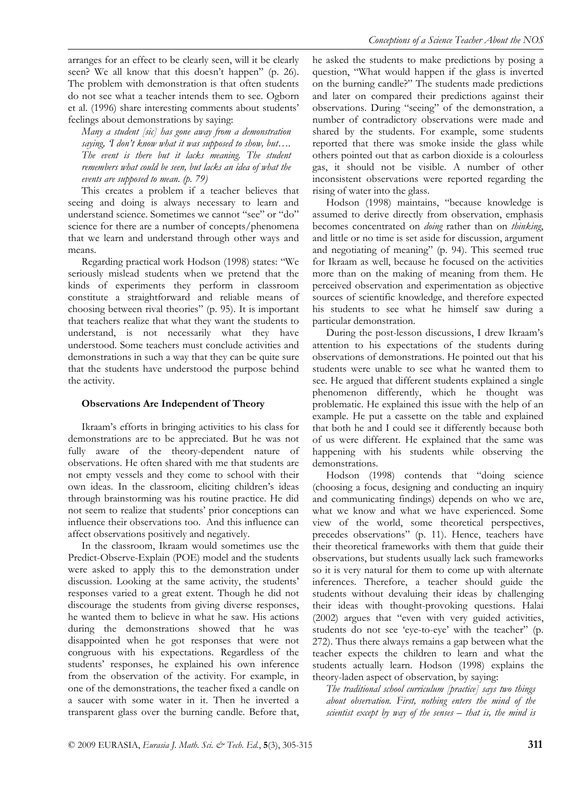arranges for an effect to be clearly seen, will it be clearly seen? We all know that this doesn't happen" (p. 26). The problem with demonstration is that often students do not see what a teacher intends them to see. Ogborn et al. (1996) share interesting comments about students' feelings about demonstrations by saying:

*Many a student [sic] has gone away from a demonstration saying, 'I don't know what it was supposed to show, but…. The event is there but it lacks meaning. The student remembers what could be seen, but lacks an idea of what the events are supposed to mean. (p. 79)* 

This creates a problem if a teacher believes that seeing and doing is always necessary to learn and understand science. Sometimes we cannot "see" or "do" science for there are a number of concepts/phenomena that we learn and understand through other ways and means.

Regarding practical work Hodson (1998) states: "We seriously mislead students when we pretend that the kinds of experiments they perform in classroom constitute a straightforward and reliable means of choosing between rival theories" (p. 95). It is important that teachers realize that what they want the students to understand, is not necessarily what they have understood. Some teachers must conclude activities and demonstrations in such a way that they can be quite sure that the students have understood the purpose behind the activity.

#### **Observations Are Independent of Theory**

Ikraam's efforts in bringing activities to his class for demonstrations are to be appreciated. But he was not fully aware of the theory-dependent nature of observations. He often shared with me that students are not empty vessels and they come to school with their own ideas. In the classroom, eliciting children's ideas through brainstorming was his routine practice. He did not seem to realize that students' prior conceptions can influence their observations too. And this influence can affect observations positively and negatively.

In the classroom, Ikraam would sometimes use the Predict-Observe-Explain (POE) model and the students were asked to apply this to the demonstration under discussion. Looking at the same activity, the students' responses varied to a great extent. Though he did not discourage the students from giving diverse responses, he wanted them to believe in what he saw. His actions during the demonstrations showed that he was disappointed when he got responses that were not congruous with his expectations. Regardless of the students' responses, he explained his own inference from the observation of the activity. For example, in one of the demonstrations, the teacher fixed a candle on a saucer with some water in it. Then he inverted a transparent glass over the burning candle. Before that, he asked the students to make predictions by posing a question, "What would happen if the glass is inverted on the burning candle?" The students made predictions and later on compared their predictions against their observations. During "seeing" of the demonstration, a number of contradictory observations were made and shared by the students. For example, some students reported that there was smoke inside the glass while others pointed out that as carbon dioxide is a colourless gas, it should not be visible. A number of other inconsistent observations were reported regarding the rising of water into the glass.

Hodson (1998) maintains, "because knowledge is assumed to derive directly from observation, emphasis becomes concentrated on *doing* rather than on *thinking*, and little or no time is set aside for discussion, argument and negotiating of meaning" (p. 94). This seemed true for Ikraam as well, because he focused on the activities more than on the making of meaning from them. He perceived observation and experimentation as objective sources of scientific knowledge, and therefore expected his students to see what he himself saw during a particular demonstration.

During the post-lesson discussions, I drew Ikraam's attention to his expectations of the students during observations of demonstrations. He pointed out that his students were unable to see what he wanted them to see. He argued that different students explained a single phenomenon differently, which he thought was problematic. He explained this issue with the help of an example. He put a cassette on the table and explained that both he and I could see it differently because both of us were different. He explained that the same was happening with his students while observing the demonstrations.

Hodson (1998) contends that "doing science (choosing a focus, designing and conducting an inquiry and communicating findings) depends on who we are, what we know and what we have experienced. Some view of the world, some theoretical perspectives, precedes observations" (p. 11). Hence, teachers have their theoretical frameworks with them that guide their observations, but students usually lack such frameworks so it is very natural for them to come up with alternate inferences. Therefore, a teacher should guide the students without devaluing their ideas by challenging their ideas with thought-provoking questions. Halai (2002) argues that "even with very guided activities, students do not see 'eye-to-eye' with the teacher" (p. 272). Thus there always remains a gap between what the teacher expects the children to learn and what the students actually learn. Hodson (1998) explains the theory-laden aspect of observation, by saying:

*The traditional school curriculum [practice] says two things about observation. First, nothing enters the mind of the scientist except by way of the senses – that is, the mind is*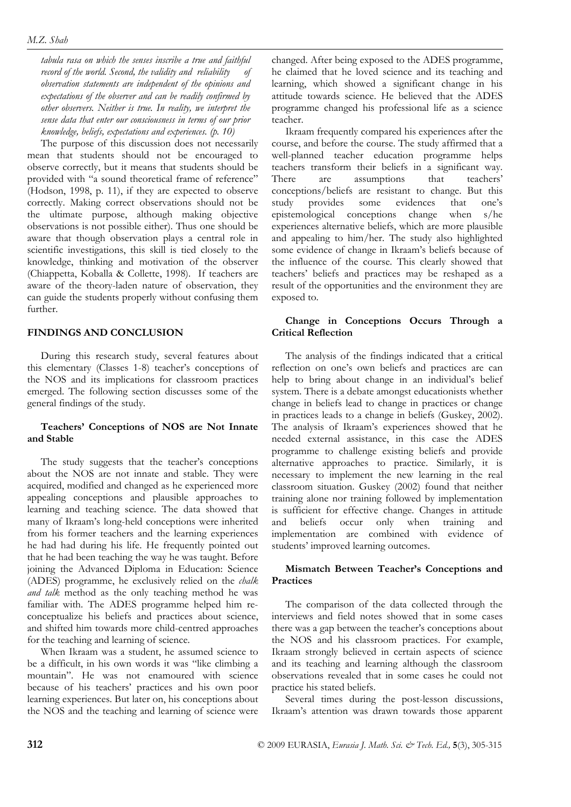*tabula rasa on which the senses inscribe a true and faithful record of the world. Second, the validity and reliability of observation statements are independent of the opinions and expectations of the observer and can be readily confirmed by other observers. Neither is true. In reality, we interpret the sense data that enter our consciousness in terms of our prior knowledge, beliefs, expectations and experiences. (p. 10)* 

The purpose of this discussion does not necessarily mean that students should not be encouraged to observe correctly, but it means that students should be provided with "a sound theoretical frame of reference" (Hodson, 1998, p. 11), if they are expected to observe correctly. Making correct observations should not be the ultimate purpose, although making objective observations is not possible either). Thus one should be aware that though observation plays a central role in scientific investigations, this skill is tied closely to the knowledge, thinking and motivation of the observer (Chiappetta, Koballa & Collette, 1998). If teachers are aware of the theory-laden nature of observation, they can guide the students properly without confusing them further.

# **FINDINGS AND CONCLUSION**

During this research study, several features about this elementary (Classes 1-8) teacher's conceptions of the NOS and its implications for classroom practices emerged. The following section discusses some of the general findings of the study.

## **Teachers' Conceptions of NOS are Not Innate and Stable**

The study suggests that the teacher's conceptions about the NOS are not innate and stable. They were acquired, modified and changed as he experienced more appealing conceptions and plausible approaches to learning and teaching science. The data showed that many of Ikraam's long-held conceptions were inherited from his former teachers and the learning experiences he had had during his life. He frequently pointed out that he had been teaching the way he was taught. Before joining the Advanced Diploma in Education: Science (ADES) programme, he exclusively relied on the *chalk and talk* method as the only teaching method he was familiar with. The ADES programme helped him reconceptualize his beliefs and practices about science, and shifted him towards more child-centred approaches for the teaching and learning of science.

When Ikraam was a student, he assumed science to be a difficult, in his own words it was "like climbing a mountain". He was not enamoured with science because of his teachers' practices and his own poor learning experiences. But later on, his conceptions about the NOS and the teaching and learning of science were changed. After being exposed to the ADES programme, he claimed that he loved science and its teaching and learning, which showed a significant change in his attitude towards science. He believed that the ADES programme changed his professional life as a science teacher.

Ikraam frequently compared his experiences after the course, and before the course. The study affirmed that a well-planned teacher education programme helps teachers transform their beliefs in a significant way. There are assumptions that teachers' conceptions/beliefs are resistant to change. But this study provides some evidences that one's epistemological conceptions change when s/he experiences alternative beliefs, which are more plausible and appealing to him/her. The study also highlighted some evidence of change in Ikraam's beliefs because of the influence of the course. This clearly showed that teachers' beliefs and practices may be reshaped as a result of the opportunities and the environment they are exposed to.

# **Change in Conceptions Occurs Through a Critical Reflection**

The analysis of the findings indicated that a critical reflection on one's own beliefs and practices are can help to bring about change in an individual's belief system. There is a debate amongst educationists whether change in beliefs lead to change in practices or change in practices leads to a change in beliefs (Guskey, 2002). The analysis of Ikraam's experiences showed that he needed external assistance, in this case the ADES programme to challenge existing beliefs and provide alternative approaches to practice. Similarly, it is necessary to implement the new learning in the real classroom situation. Guskey (2002) found that neither training alone nor training followed by implementation is sufficient for effective change. Changes in attitude and beliefs occur only when training and implementation are combined with evidence of students' improved learning outcomes.

# **Mismatch Between Teacher's Conceptions and Practices**

The comparison of the data collected through the interviews and field notes showed that in some cases there was a gap between the teacher's conceptions about the NOS and his classroom practices. For example, Ikraam strongly believed in certain aspects of science and its teaching and learning although the classroom observations revealed that in some cases he could not practice his stated beliefs.

Several times during the post-lesson discussions, Ikraam's attention was drawn towards those apparent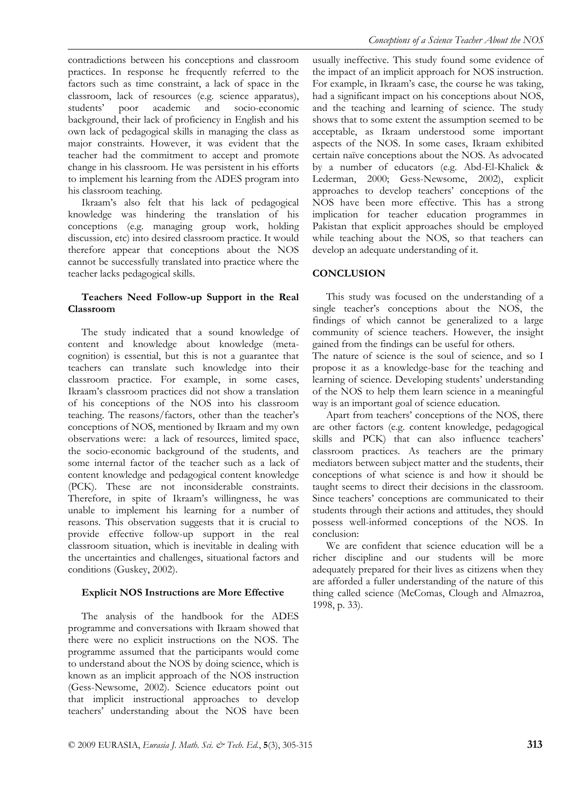contradictions between his conceptions and classroom practices. In response he frequently referred to the factors such as time constraint, a lack of space in the classroom, lack of resources (e.g. science apparatus), students' poor academic and socio-economic background, their lack of proficiency in English and his own lack of pedagogical skills in managing the class as major constraints. However, it was evident that the teacher had the commitment to accept and promote change in his classroom. He was persistent in his efforts to implement his learning from the ADES program into his classroom teaching.

Ikraam's also felt that his lack of pedagogical knowledge was hindering the translation of his conceptions (e.g. managing group work, holding discussion, etc) into desired classroom practice. It would therefore appear that conceptions about the NOS cannot be successfully translated into practice where the teacher lacks pedagogical skills.

## **Teachers Need Follow-up Support in the Real Classroom**

The study indicated that a sound knowledge of content and knowledge about knowledge (metacognition) is essential, but this is not a guarantee that teachers can translate such knowledge into their classroom practice. For example, in some cases, Ikraam's classroom practices did not show a translation of his conceptions of the NOS into his classroom teaching. The reasons/factors, other than the teacher's conceptions of NOS, mentioned by Ikraam and my own observations were: a lack of resources, limited space, the socio-economic background of the students, and some internal factor of the teacher such as a lack of content knowledge and pedagogical content knowledge (PCK). These are not inconsiderable constraints. Therefore, in spite of Ikraam's willingness, he was unable to implement his learning for a number of reasons. This observation suggests that it is crucial to provide effective follow-up support in the real classroom situation, which is inevitable in dealing with the uncertainties and challenges, situational factors and conditions (Guskey, 2002).

## **Explicit NOS Instructions are More Effective**

The analysis of the handbook for the ADES programme and conversations with Ikraam showed that there were no explicit instructions on the NOS. The programme assumed that the participants would come to understand about the NOS by doing science, which is known as an implicit approach of the NOS instruction (Gess-Newsome, 2002). Science educators point out that implicit instructional approaches to develop teachers' understanding about the NOS have been usually ineffective. This study found some evidence of the impact of an implicit approach for NOS instruction. For example, in Ikraam's case, the course he was taking, had a significant impact on his conceptions about NOS, and the teaching and learning of science. The study shows that to some extent the assumption seemed to be acceptable, as Ikraam understood some important aspects of the NOS. In some cases, Ikraam exhibited certain naïve conceptions about the NOS. As advocated by a number of educators (e.g. Abd-El-Khalick & Lederman, 2000; Gess-Newsome, 2002), explicit approaches to develop teachers' conceptions of the NOS have been more effective. This has a strong implication for teacher education programmes in Pakistan that explicit approaches should be employed while teaching about the NOS, so that teachers can develop an adequate understanding of it.

#### **CONCLUSION**

This study was focused on the understanding of a single teacher's conceptions about the NOS, the findings of which cannot be generalized to a large community of science teachers. However, the insight gained from the findings can be useful for others.

The nature of science is the soul of science, and so I propose it as a knowledge-base for the teaching and learning of science. Developing students' understanding of the NOS to help them learn science in a meaningful way is an important goal of science education.

Apart from teachers' conceptions of the NOS, there are other factors (e.g. content knowledge, pedagogical skills and PCK) that can also influence teachers' classroom practices. As teachers are the primary mediators between subject matter and the students, their conceptions of what science is and how it should be taught seems to direct their decisions in the classroom. Since teachers' conceptions are communicated to their students through their actions and attitudes, they should possess well-informed conceptions of the NOS. In conclusion:

We are confident that science education will be a richer discipline and our students will be more adequately prepared for their lives as citizens when they are afforded a fuller understanding of the nature of this thing called science (McComas, Clough and Almazroa, 1998, p. 33).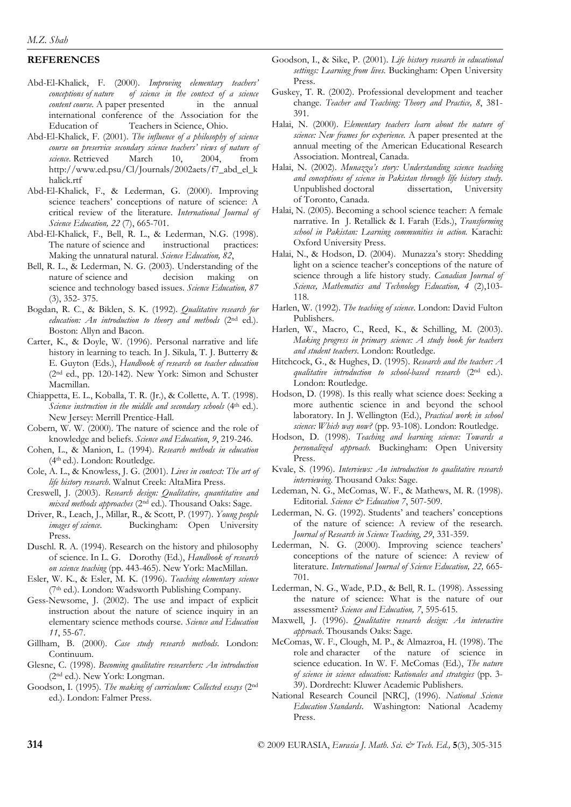# **REFERENCES**

- Abd-El-Khalick, F. (2000). *Improving elementary teachers' conceptions of nature of science in the context of a science content course*. A paper presented in the annual international conference of the Association for the Education of Teachers in Science, Ohio.
- Abd-El-Khalick, F. (2001). *The influence of a philosophy of science course on preservice secondary science teachers' views of nature of science*. Retrieved March 10, 2004, from http://www.ed.psu/Cl/Journals/2002aets/f7\_abd\_el\_k halick.rtf
- Abd-El-Khalick, F., & Lederman, G. (2000). Improving science teachers' conceptions of nature of science: A critical review of the literature. *International Journal of Science Education, 22* (7), 665-701.
- Abd-El-Khalick, F., Bell, R. L., & Lederman, N.G. (1998). The nature of science and instructional practices: Making the unnatural natural. *Science Education, 82*,
- Bell, R. L., & Lederman, N. G. (2003). Understanding of the nature of science and decision making on science and technology based issues. *Science Education, 87*  (3), 352- 375.
- Bogdan, R. C., & Biklen, S. K. (1992). *Qualitative research for education: An introduction to theory and methods* (2nd ed.). Boston: Allyn and Bacon.
- Carter, K., & Doyle, W. (1996). Personal narrative and life history in learning to teach. In J. Sikula, T. J. Butterry & E. Guyton (Eds.), *Handbook of research on teacher education*  (2nd ed., pp. 120-142). New York: Simon and Schuster Macmillan.
- Chiappetta, E. L., Koballa, T. R. (Jr.), & Collette, A. T. (1998). *Science instruction in the middle and secondary schools* (4th ed.). New Jersey: Merrill Prentice-Hall.
- Cobern, W. W. (2000). The nature of science and the role of knowledge and beliefs. *Science and Education*, *9*, 219-246.
- Cohen, L., & Manion, L. (1994). *Research methods in education* (4th ed.). London: Routledge.
- Cole, A. L., & Knowless, J. G. (2001). *Lives in context: The art of life history research*. Walnut Creek: AltaMira Press.
- Creswell, J. (2003). *Research design: Qualitative, quantitative and mixed methods approaches* (2nd ed.). Thousand Oaks: Sage.
- Driver, R., Leach, J., Millar, R., & Scott, P. (1997). *Young people images of science*. Buckingham: Open University Press.
- Duschl. R. A. (1994). Research on the history and philosophy of science. In L. G. Dorothy (Ed.), *Handbook of research on science teaching* (pp. 443-465). New York: MacMillan.
- Esler, W. K., & Esler, M. K. (1996). *Teaching elementary science*  (7th ed.). London: Wadsworth Publishing Company.
- Gess-Newsome, J. (2002). The use and impact of explicit instruction about the nature of science inquiry in an elementary science methods course. *Science and Education 11*, 55-67.
- Gillham, B. (2000). *Case study research methods*. London: Continuum.
- Glesne, C. (1998). *Becoming qualitative researchers: An introduction* (2nd ed.). New York: Longman.
- Goodson, I. (1995). *The making of curriculum: Collected essays* (2nd ed.). London: Falmer Press.
- Goodson, I., & Sike, P. (2001). *Life history research in educational settings: Learning from lives.* Buckingham: Open University Press.
- Guskey, T. R. (2002). Professional development and teacher change. *Teacher and Teaching: Theory and Practice, 8*, 381- 391.
- Halai, N. (2000). *Elementary teachers learn about the nature of science: New frames for experience.* A paper presented at the annual meeting of the American Educational Research Association. Montreal, Canada.
- Halai, N. (2002). *Munazza's story: Understanding science teaching and conceptions of science in Pakistan through life history study*. Unpublished doctoral dissertation, University of Toronto, Canada.
- Halai, N. (2005). Becoming a school science teacher: A female narrative. In J. Retallick & I. Farah (Eds.), *Transforming school in Pakistan: Learning communities in action.* Karachi: Oxford University Press.
- Halai, N., & Hodson, D. (2004). Munazza's story: Shedding light on a science teacher's conceptions of the nature of science through a life history study. *Canadian Journal of Science, Mathematics and Technology Education, 4* (2),103- 118.
- Harlen, W. (1992). *The teaching of science*. London: David Fulton Publishers.
- Harlen, W., Macro, C., Reed, K., & Schilling, M. (2003). *Making progress in primary science: A study book for teachers and student teachers*. London: Routledge.
- Hitchcock, G., & Hughes, D. (1995). *Research and the teacher: A qualitative introduction to school-based research* (2nd ed.). London: Routledge.
- Hodson, D. (1998). Is this really what science does: Seeking a more authentic science in and beyond the school laboratory. In J. Wellington (Ed.), *Practical work in school science: Which way now?* (pp. 93-108). London: Routledge.
- Hodson, D. (1998). *Teaching and learning science: Towards a personalized approach.* Buckingham: Open University Press.
- Kvale, S. (1996). *Interviews: An introduction to qualitative research interviewing*. Thousand Oaks: Sage.
- Ledeman, N. G., McComas, W. F., & Mathews, M. R. (1998). Editorial. *Science & Education 7*, 507-509.
- Lederman, N. G. (1992). Students' and teachers' conceptions of the nature of science: A review of the research*. Journal of Research in Science Teaching*, *29*, 331-359.
- Lederman, N. G. (2000). Improving science teachers' conceptions of the nature of science: A review of literature. *International Journal of Science Education, 22,* 665- 701.
- Lederman, N. G., Wade, P.D., & Bell, R. L. (1998). Assessing the nature of science: What is the nature of our assessment? *Science and Education, 7*, 595-615.
- Maxwell, J. (1996). *Qualitative research design: An interactive approach*. Thousands Oaks: Sage.
- McComas, W. F., Clough, M. P., & Almazroa, H. (1998). The role and character of the nature of science in science education. In W. F. McComas (Ed.), *The nature of science in science education: Rationales and strategies* (pp. 3- 39). Dordrecht: Kluwer Academic Publishers.
- National Research Council [NRC], (1996). *National Science Education Standards*. Washington: National Academy Press.